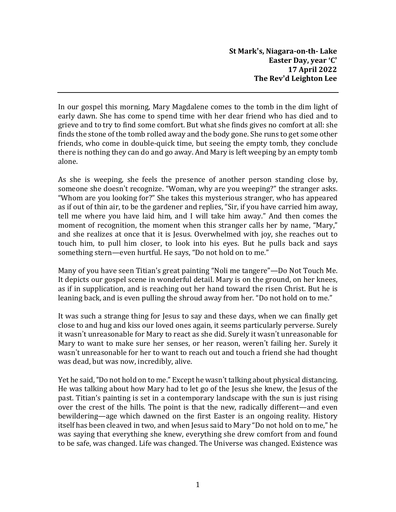**St Mark's, Niagara-on-th- Lake Easter Day, year 'C' 17 April 2022 The Rev'd Leighton Lee**

In our gospel this morning, Mary Magdalene comes to the tomb in the dim light of early dawn. She has come to spend time with her dear friend who has died and to grieve and to try to find some comfort. But what she finds gives no comfort at all: she finds the stone of the tomb rolled away and the body gone. She runs to get some other friends, who come in double-quick time, but seeing the empty tomb, they conclude there is nothing they can do and go away. And Mary is left weeping by an empty tomb alone.

As she is weeping, she feels the presence of another person standing close by, someone she doesn't recognize. "Woman, why are you weeping?" the stranger asks. "Whom are you looking for?" She takes this mysterious stranger, who has appeared as if out of thin air, to be the gardener and replies, "Sir, if you have carried him away, tell me where you have laid him, and I will take him away." And then comes the moment of recognition, the moment when this stranger calls her by name, "Mary," and she realizes at once that it is Jesus. Overwhelmed with joy, she reaches out to touch him, to pull him closer, to look into his eyes. But he pulls back and says something stern—even hurtful. He says, "Do not hold on to me."

Many of you have seen Titian's great painting "Noli me tangere"—Do Not Touch Me. It depicts our gospel scene in wonderful detail. Mary is on the ground, on her knees, as if in supplication, and is reaching out her hand toward the risen Christ. But he is leaning back, and is even pulling the shroud away from her. "Do not hold on to me."

It was such a strange thing for Jesus to say and these days, when we can finally get close to and hug and kiss our loved ones again, it seems particularly perverse. Surely it wasn't unreasonable for Mary to react as she did. Surely it wasn't unreasonable for Mary to want to make sure her senses, or her reason, weren't failing her. Surely it wasn't unreasonable for her to want to reach out and touch a friend she had thought was dead, but was now, incredibly, alive.

Yet he said, "Do not hold on to me." Except he wasn't talking about physical distancing. He was talking about how Mary had to let go of the Jesus she knew, the Jesus of the past. Titian's painting is set in a contemporary landscape with the sun is just rising over the crest of the hills. The point is that the new, radically different—and even bewildering—age which dawned on the first Easter is an ongoing reality. History itself has been cleaved in two, and when Jesus said to Mary "Do not hold on to me," he was saying that everything she knew, everything she drew comfort from and found to be safe, was changed. Life was changed. The Universe was changed. Existence was